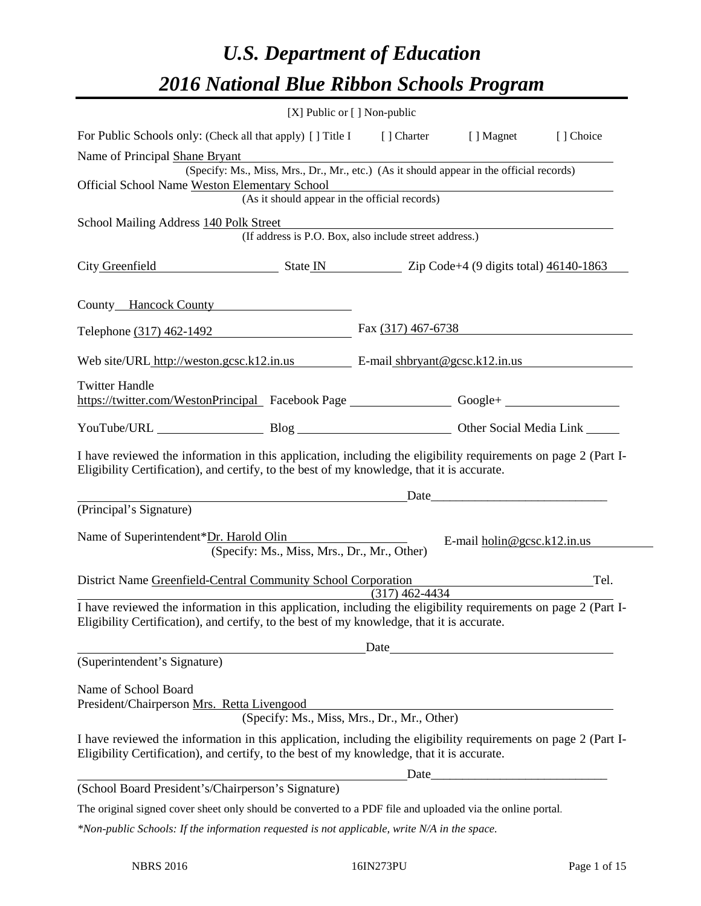# *U.S. Department of Education 2016 National Blue Ribbon Schools Program*

|                                                                                                                                                                                                              | $[X]$ Public or $[ ]$ Non-public                                                                                                                                     |                  |                                                          |      |
|--------------------------------------------------------------------------------------------------------------------------------------------------------------------------------------------------------------|----------------------------------------------------------------------------------------------------------------------------------------------------------------------|------------------|----------------------------------------------------------|------|
| For Public Schools only: (Check all that apply) [ ] Title I [ ] Charter [ ] Magnet [ ] Choice                                                                                                                |                                                                                                                                                                      |                  |                                                          |      |
| Name of Principal Shane Bryant                                                                                                                                                                               |                                                                                                                                                                      |                  |                                                          |      |
| Official School Name Weston Elementary School                                                                                                                                                                | (Specify: Ms., Miss, Mrs., Dr., Mr., etc.) (As it should appear in the official records)                                                                             |                  |                                                          |      |
|                                                                                                                                                                                                              | Lementary School<br>(As it should appear in the official records)                                                                                                    |                  |                                                          |      |
| School Mailing Address 140 Polk Street                                                                                                                                                                       |                                                                                                                                                                      |                  |                                                          |      |
|                                                                                                                                                                                                              | (If address is P.O. Box, also include street address.)                                                                                                               |                  |                                                          |      |
| City Greenfield State IN Zip Code+4 (9 digits total) 46140-1863                                                                                                                                              |                                                                                                                                                                      |                  |                                                          |      |
| County Hancock County                                                                                                                                                                                        |                                                                                                                                                                      |                  |                                                          |      |
| Telephone (317) 462-1492 Fax (317) 467-6738                                                                                                                                                                  |                                                                                                                                                                      |                  |                                                          |      |
| Web site/URL http://weston.gcsc.k12.in.us E-mail shbryant@gcsc.k12.in.us                                                                                                                                     |                                                                                                                                                                      |                  |                                                          |      |
| <b>Twitter Handle</b><br>https://twitter.com/WestonPrincipal Facebook Page ___________________Google+ ______________________                                                                                 |                                                                                                                                                                      |                  |                                                          |      |
|                                                                                                                                                                                                              |                                                                                                                                                                      |                  |                                                          |      |
| I have reviewed the information in this application, including the eligibility requirements on page 2 (Part I-<br>Eligibility Certification), and certify, to the best of my knowledge, that it is accurate. |                                                                                                                                                                      |                  |                                                          |      |
|                                                                                                                                                                                                              |                                                                                                                                                                      |                  |                                                          |      |
| (Principal's Signature)                                                                                                                                                                                      |                                                                                                                                                                      |                  |                                                          |      |
| Name of Superintendent*Dr. Harold Olin                                                                                                                                                                       | <u> 1980 - Jan Barbara Barbara, prima populație de la provincia de la provincia de la provincia de la provincia d</u><br>(Specify: Ms., Miss, Mrs., Dr., Mr., Other) |                  | E-mail $\underline{\text{holin}\,\omega}$ gcsc.k12.in.us |      |
| District Name Greenfield-Central Community School Corporation                                                                                                                                                |                                                                                                                                                                      | $(317)$ 462-4434 |                                                          | Tel. |
| I have reviewed the information in this application, including the eligibility requirements on page 2 (Part I-<br>Eligibility Certification), and certify, to the best of my knowledge, that it is accurate. |                                                                                                                                                                      |                  |                                                          |      |
|                                                                                                                                                                                                              |                                                                                                                                                                      |                  | Date <b>Date Date Date <i>Date</i></b>                   |      |
| (Superintendent's Signature)                                                                                                                                                                                 |                                                                                                                                                                      |                  |                                                          |      |
| Name of School Board<br>President/Chairperson Mrs. Retta Livengood                                                                                                                                           | (Specify: Ms., Miss, Mrs., Dr., Mr., Other)                                                                                                                          |                  |                                                          |      |
| I have reviewed the information in this application, including the eligibility requirements on page 2 (Part I-<br>Eligibility Certification), and certify, to the best of my knowledge, that it is accurate. |                                                                                                                                                                      |                  |                                                          |      |
|                                                                                                                                                                                                              |                                                                                                                                                                      |                  |                                                          |      |
| (School Board President's/Chairperson's Signature)                                                                                                                                                           |                                                                                                                                                                      |                  |                                                          |      |
| The original signed cover sheet only should be converted to a PDF file and uploaded via the online portal.                                                                                                   |                                                                                                                                                                      |                  |                                                          |      |

*\*Non-public Schools: If the information requested is not applicable, write N/A in the space.*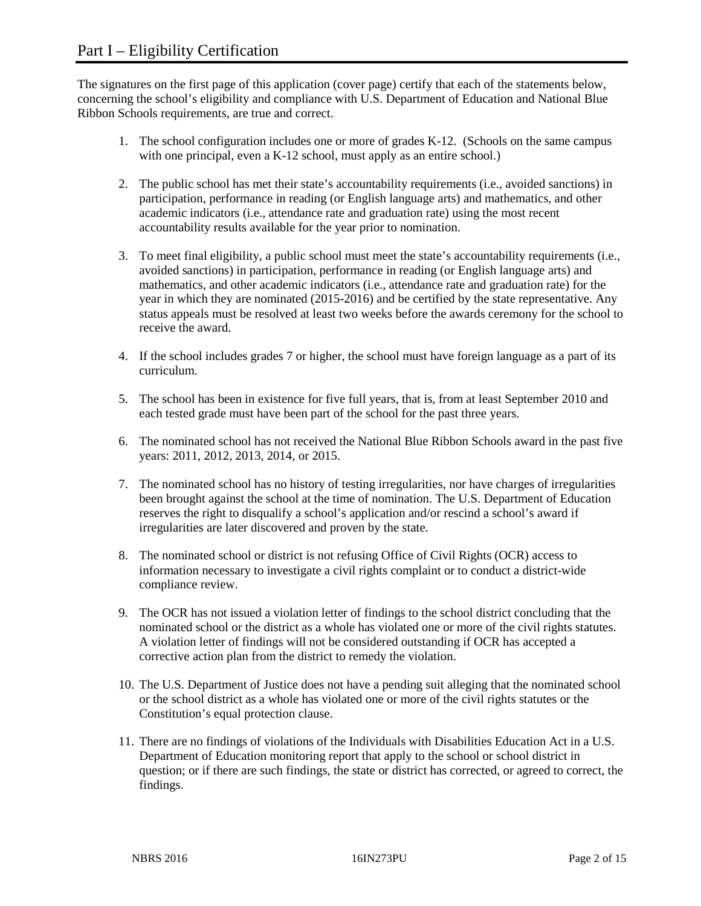The signatures on the first page of this application (cover page) certify that each of the statements below, concerning the school's eligibility and compliance with U.S. Department of Education and National Blue Ribbon Schools requirements, are true and correct.

- 1. The school configuration includes one or more of grades K-12. (Schools on the same campus with one principal, even a K-12 school, must apply as an entire school.)
- 2. The public school has met their state's accountability requirements (i.e., avoided sanctions) in participation, performance in reading (or English language arts) and mathematics, and other academic indicators (i.e., attendance rate and graduation rate) using the most recent accountability results available for the year prior to nomination.
- 3. To meet final eligibility, a public school must meet the state's accountability requirements (i.e., avoided sanctions) in participation, performance in reading (or English language arts) and mathematics, and other academic indicators (i.e., attendance rate and graduation rate) for the year in which they are nominated (2015-2016) and be certified by the state representative. Any status appeals must be resolved at least two weeks before the awards ceremony for the school to receive the award.
- 4. If the school includes grades 7 or higher, the school must have foreign language as a part of its curriculum.
- 5. The school has been in existence for five full years, that is, from at least September 2010 and each tested grade must have been part of the school for the past three years.
- 6. The nominated school has not received the National Blue Ribbon Schools award in the past five years: 2011, 2012, 2013, 2014, or 2015.
- 7. The nominated school has no history of testing irregularities, nor have charges of irregularities been brought against the school at the time of nomination. The U.S. Department of Education reserves the right to disqualify a school's application and/or rescind a school's award if irregularities are later discovered and proven by the state.
- 8. The nominated school or district is not refusing Office of Civil Rights (OCR) access to information necessary to investigate a civil rights complaint or to conduct a district-wide compliance review.
- 9. The OCR has not issued a violation letter of findings to the school district concluding that the nominated school or the district as a whole has violated one or more of the civil rights statutes. A violation letter of findings will not be considered outstanding if OCR has accepted a corrective action plan from the district to remedy the violation.
- 10. The U.S. Department of Justice does not have a pending suit alleging that the nominated school or the school district as a whole has violated one or more of the civil rights statutes or the Constitution's equal protection clause.
- 11. There are no findings of violations of the Individuals with Disabilities Education Act in a U.S. Department of Education monitoring report that apply to the school or school district in question; or if there are such findings, the state or district has corrected, or agreed to correct, the findings.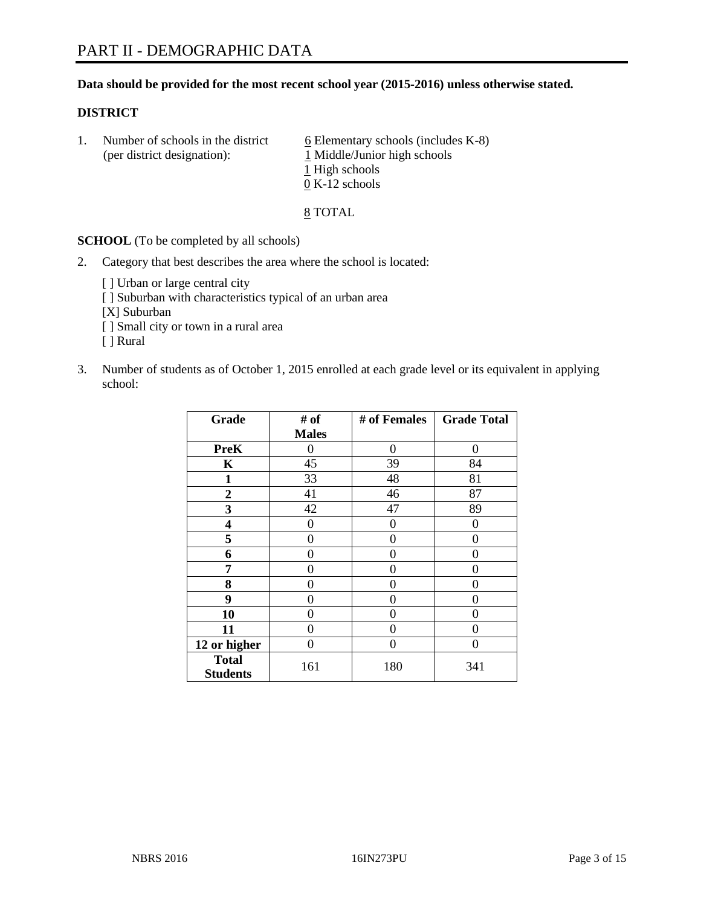# **Data should be provided for the most recent school year (2015-2016) unless otherwise stated.**

# **DISTRICT**

1. Number of schools in the district  $6$  Elementary schools (includes K-8) (per district designation): 1 Middle/Junior high schools 1 High schools 0 K-12 schools

8 TOTAL

**SCHOOL** (To be completed by all schools)

- 2. Category that best describes the area where the school is located:
	- [] Urban or large central city [ ] Suburban with characteristics typical of an urban area [X] Suburban [ ] Small city or town in a rural area [ ] Rural
- 3. Number of students as of October 1, 2015 enrolled at each grade level or its equivalent in applying school:

| Grade                           | # of         | # of Females | <b>Grade Total</b> |
|---------------------------------|--------------|--------------|--------------------|
|                                 | <b>Males</b> |              |                    |
| <b>PreK</b>                     | 0            | $\theta$     | 0                  |
| K                               | 45           | 39           | 84                 |
| 1                               | 33           | 48           | 81                 |
| $\overline{2}$                  | 41           | 46           | 87                 |
| 3                               | 42           | 47           | 89                 |
| 4                               | $\theta$     | $\theta$     | $\theta$           |
| 5                               | 0            | 0            | $\theta$           |
| 6                               | 0            | 0            | 0                  |
| 7                               | 0            | 0            | 0                  |
| 8                               | 0            | 0            | 0                  |
| 9                               | 0            | 0            | 0                  |
| 10                              | 0            | 0            | $\theta$           |
| 11                              | 0            | 0            | $\Omega$           |
| 12 or higher                    | 0            | 0            | 0                  |
| <b>Total</b><br><b>Students</b> | 161          | 180          | 341                |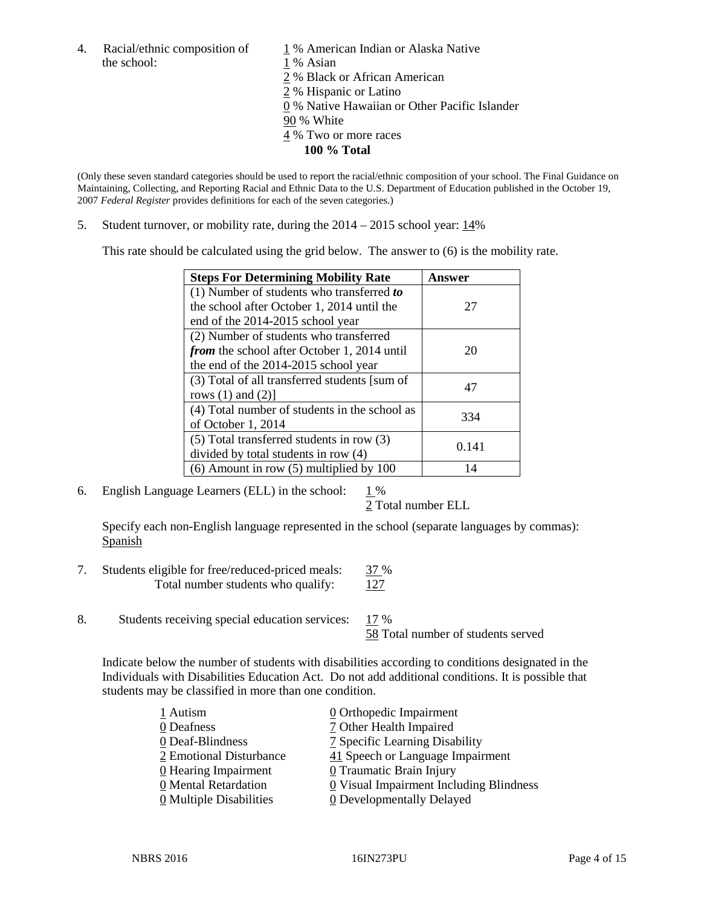the school: 1 % Asian

4. Racial/ethnic composition of  $1\%$  American Indian or Alaska Native

2 % Black or African American

2 % Hispanic or Latino

0 % Native Hawaiian or Other Pacific Islander

90 % White

- 4 % Two or more races
	- **100 % Total**

(Only these seven standard categories should be used to report the racial/ethnic composition of your school. The Final Guidance on Maintaining, Collecting, and Reporting Racial and Ethnic Data to the U.S. Department of Education published in the October 19, 2007 *Federal Register* provides definitions for each of the seven categories.)

5. Student turnover, or mobility rate, during the  $2014 - 2015$  school year:  $14\%$ 

This rate should be calculated using the grid below. The answer to (6) is the mobility rate.

| <b>Steps For Determining Mobility Rate</b>         | Answer |  |
|----------------------------------------------------|--------|--|
| (1) Number of students who transferred to          |        |  |
| the school after October 1, 2014 until the         | 27     |  |
| end of the 2014-2015 school year                   |        |  |
| (2) Number of students who transferred             |        |  |
| <i>from</i> the school after October 1, 2014 until | 20     |  |
| the end of the 2014-2015 school year               |        |  |
| (3) Total of all transferred students [sum of      | 47     |  |
| rows $(1)$ and $(2)$ ]                             |        |  |
| (4) Total number of students in the school as      | 334    |  |
| of October 1, 2014                                 |        |  |
| (5) Total transferred students in row (3)          | 0.141  |  |
| divided by total students in row (4)               |        |  |
| $(6)$ Amount in row $(5)$ multiplied by 100        | 14     |  |

6. English Language Learners (ELL) in the school:  $1\%$ 

2 Total number ELL

Specify each non-English language represented in the school (separate languages by commas): Spanish

- 7. Students eligible for free/reduced-priced meals: 37 % Total number students who qualify:  $127$
- 8. Students receiving special education services: 17 %

58 Total number of students served

Indicate below the number of students with disabilities according to conditions designated in the Individuals with Disabilities Education Act. Do not add additional conditions. It is possible that students may be classified in more than one condition.

| 1 Autism                  | 0 Orthopedic Impairment                 |
|---------------------------|-----------------------------------------|
| 0 Deafness                | 7 Other Health Impaired                 |
| 0 Deaf-Blindness          | 7 Specific Learning Disability          |
| 2 Emotional Disturbance   | 41 Speech or Language Impairment        |
| 0 Hearing Impairment      | 0 Traumatic Brain Injury                |
| 0 Mental Retardation      | 0 Visual Impairment Including Blindness |
| $Q$ Multiple Disabilities | <b>0</b> Developmentally Delayed        |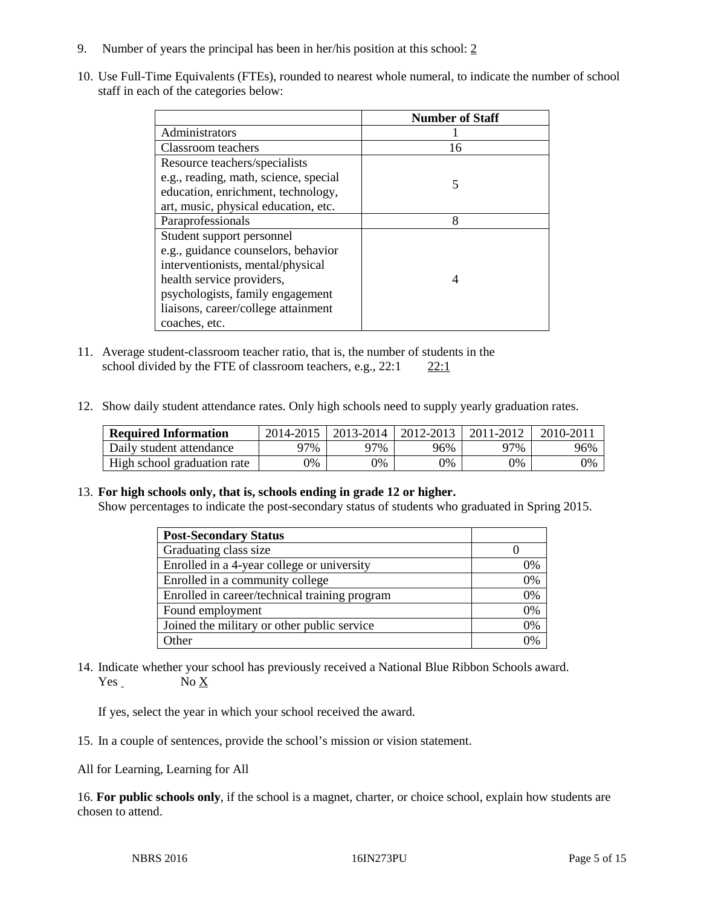- 9. Number of years the principal has been in her/his position at this school: 2
- 10. Use Full-Time Equivalents (FTEs), rounded to nearest whole numeral, to indicate the number of school staff in each of the categories below:

|                                       | <b>Number of Staff</b> |
|---------------------------------------|------------------------|
| Administrators                        |                        |
| Classroom teachers                    | 16                     |
| Resource teachers/specialists         |                        |
| e.g., reading, math, science, special | 5                      |
| education, enrichment, technology,    |                        |
| art, music, physical education, etc.  |                        |
| Paraprofessionals                     | 8                      |
| Student support personnel             |                        |
| e.g., guidance counselors, behavior   |                        |
| interventionists, mental/physical     |                        |
| health service providers,             |                        |
| psychologists, family engagement      |                        |
| liaisons, career/college attainment   |                        |
| coaches, etc.                         |                        |

- 11. Average student-classroom teacher ratio, that is, the number of students in the school divided by the FTE of classroom teachers, e.g.,  $22:1$   $22:1$
- 12. Show daily student attendance rates. Only high schools need to supply yearly graduation rates.

| <b>Required Information</b> | 2014-2015 | 2013-2014 | 2012-2013 | 2011-2012 | 2010-2011 |
|-----------------------------|-----------|-----------|-----------|-----------|-----------|
| Daily student attendance    | 97%       | 97%       | 96%       | 97%       | 96%       |
| High school graduation rate | 9%        | 0%        | 0%        | 9%        | 0%        |

# 13. **For high schools only, that is, schools ending in grade 12 or higher.**

Show percentages to indicate the post-secondary status of students who graduated in Spring 2015.

| <b>Post-Secondary Status</b>                  |    |
|-----------------------------------------------|----|
| Graduating class size                         |    |
| Enrolled in a 4-year college or university    | 0% |
| Enrolled in a community college               | 0% |
| Enrolled in career/technical training program | 0% |
| Found employment                              | 0% |
| Joined the military or other public service   | 0% |
| Other                                         | 0/ |

14. Indicate whether your school has previously received a National Blue Ribbon Schools award. Yes No X

If yes, select the year in which your school received the award.

15. In a couple of sentences, provide the school's mission or vision statement.

All for Learning, Learning for All

16. **For public schools only**, if the school is a magnet, charter, or choice school, explain how students are chosen to attend.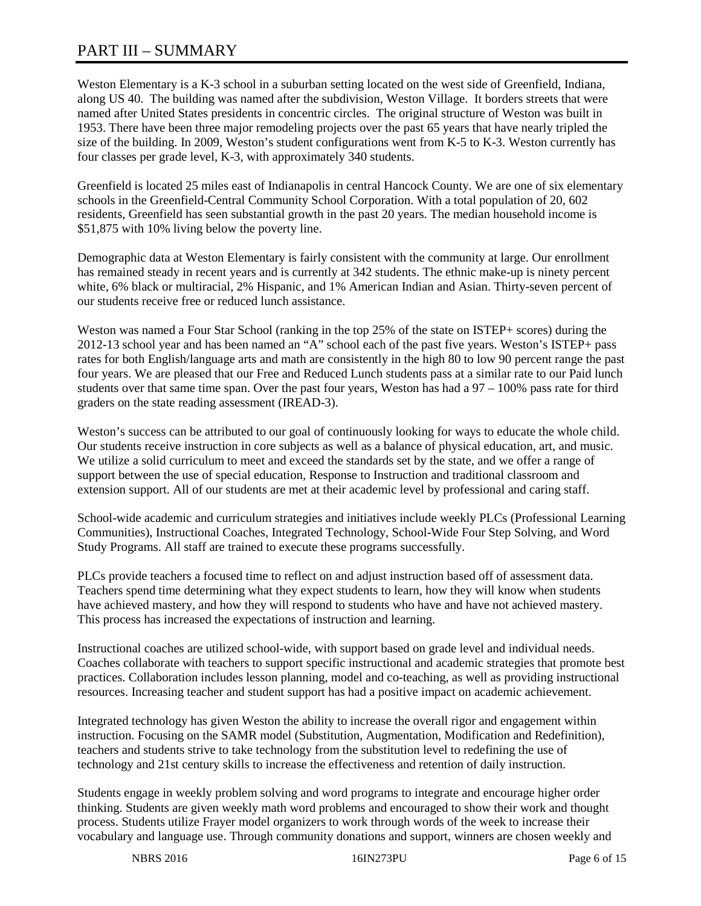# PART III – SUMMARY

Weston Elementary is a K-3 school in a suburban setting located on the west side of Greenfield, Indiana, along US 40. The building was named after the subdivision, Weston Village. It borders streets that were named after United States presidents in concentric circles. The original structure of Weston was built in 1953. There have been three major remodeling projects over the past 65 years that have nearly tripled the size of the building. In 2009, Weston's student configurations went from K-5 to K-3. Weston currently has four classes per grade level, K-3, with approximately 340 students.

Greenfield is located 25 miles east of Indianapolis in central Hancock County. We are one of six elementary schools in the Greenfield-Central Community School Corporation. With a total population of 20, 602 residents, Greenfield has seen substantial growth in the past 20 years. The median household income is \$51,875 with 10% living below the poverty line.

Demographic data at Weston Elementary is fairly consistent with the community at large. Our enrollment has remained steady in recent years and is currently at 342 students. The ethnic make-up is ninety percent white, 6% black or multiracial, 2% Hispanic, and 1% American Indian and Asian. Thirty-seven percent of our students receive free or reduced lunch assistance.

Weston was named a Four Star School (ranking in the top 25% of the state on ISTEP+ scores) during the 2012-13 school year and has been named an "A" school each of the past five years. Weston's ISTEP+ pass rates for both English/language arts and math are consistently in the high 80 to low 90 percent range the past four years. We are pleased that our Free and Reduced Lunch students pass at a similar rate to our Paid lunch students over that same time span. Over the past four years, Weston has had a 97 – 100% pass rate for third graders on the state reading assessment (IREAD-3).

Weston's success can be attributed to our goal of continuously looking for ways to educate the whole child. Our students receive instruction in core subjects as well as a balance of physical education, art, and music. We utilize a solid curriculum to meet and exceed the standards set by the state, and we offer a range of support between the use of special education, Response to Instruction and traditional classroom and extension support. All of our students are met at their academic level by professional and caring staff.

School-wide academic and curriculum strategies and initiatives include weekly PLCs (Professional Learning Communities), Instructional Coaches, Integrated Technology, School-Wide Four Step Solving, and Word Study Programs. All staff are trained to execute these programs successfully.

PLCs provide teachers a focused time to reflect on and adjust instruction based off of assessment data. Teachers spend time determining what they expect students to learn, how they will know when students have achieved mastery, and how they will respond to students who have and have not achieved mastery. This process has increased the expectations of instruction and learning.

Instructional coaches are utilized school-wide, with support based on grade level and individual needs. Coaches collaborate with teachers to support specific instructional and academic strategies that promote best practices. Collaboration includes lesson planning, model and co-teaching, as well as providing instructional resources. Increasing teacher and student support has had a positive impact on academic achievement.

Integrated technology has given Weston the ability to increase the overall rigor and engagement within instruction. Focusing on the SAMR model (Substitution, Augmentation, Modification and Redefinition), teachers and students strive to take technology from the substitution level to redefining the use of technology and 21st century skills to increase the effectiveness and retention of daily instruction.

Students engage in weekly problem solving and word programs to integrate and encourage higher order thinking. Students are given weekly math word problems and encouraged to show their work and thought process. Students utilize Frayer model organizers to work through words of the week to increase their vocabulary and language use. Through community donations and support, winners are chosen weekly and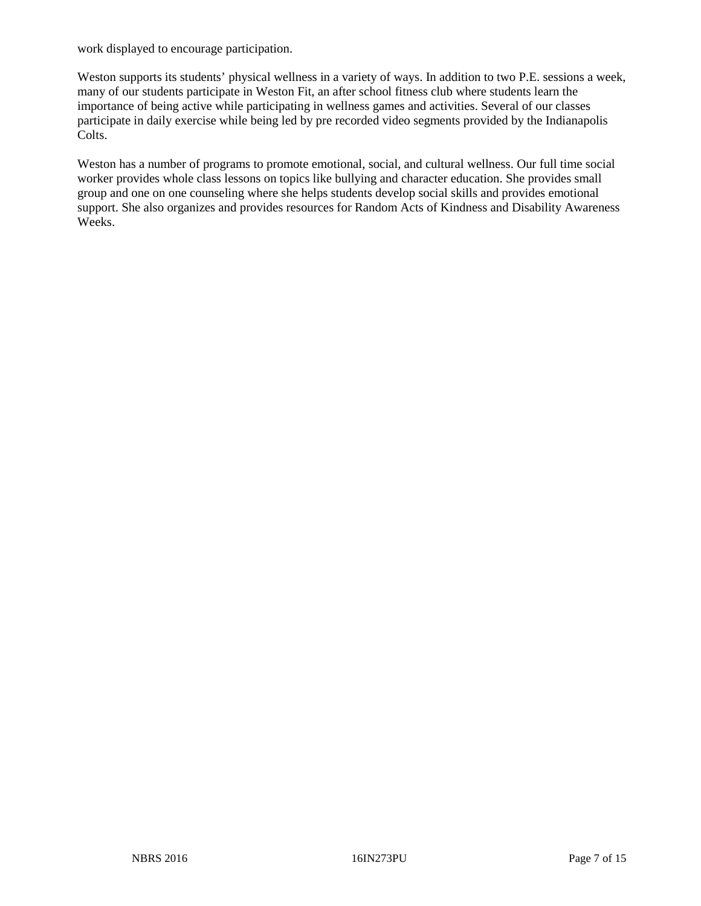work displayed to encourage participation.

Weston supports its students' physical wellness in a variety of ways. In addition to two P.E. sessions a week, many of our students participate in Weston Fit, an after school fitness club where students learn the importance of being active while participating in wellness games and activities. Several of our classes participate in daily exercise while being led by pre recorded video segments provided by the Indianapolis Colts.

Weston has a number of programs to promote emotional, social, and cultural wellness. Our full time social worker provides whole class lessons on topics like bullying and character education. She provides small group and one on one counseling where she helps students develop social skills and provides emotional support. She also organizes and provides resources for Random Acts of Kindness and Disability Awareness Weeks.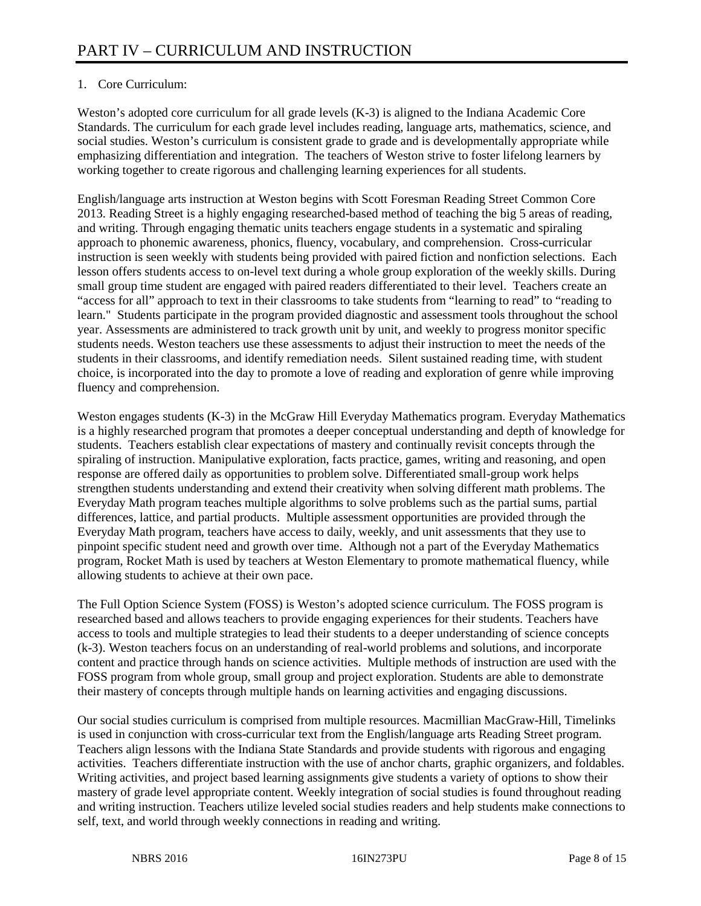# 1. Core Curriculum:

Weston's adopted core curriculum for all grade levels (K-3) is aligned to the Indiana Academic Core Standards. The curriculum for each grade level includes reading, language arts, mathematics, science, and social studies. Weston's curriculum is consistent grade to grade and is developmentally appropriate while emphasizing differentiation and integration. The teachers of Weston strive to foster lifelong learners by working together to create rigorous and challenging learning experiences for all students.

English/language arts instruction at Weston begins with Scott Foresman Reading Street Common Core 2013. Reading Street is a highly engaging researched-based method of teaching the big 5 areas of reading, and writing. Through engaging thematic units teachers engage students in a systematic and spiraling approach to phonemic awareness, phonics, fluency, vocabulary, and comprehension. Cross-curricular instruction is seen weekly with students being provided with paired fiction and nonfiction selections. Each lesson offers students access to on-level text during a whole group exploration of the weekly skills. During small group time student are engaged with paired readers differentiated to their level. Teachers create an "access for all" approach to text in their classrooms to take students from "learning to read" to "reading to learn." Students participate in the program provided diagnostic and assessment tools throughout the school year. Assessments are administered to track growth unit by unit, and weekly to progress monitor specific students needs. Weston teachers use these assessments to adjust their instruction to meet the needs of the students in their classrooms, and identify remediation needs. Silent sustained reading time, with student choice, is incorporated into the day to promote a love of reading and exploration of genre while improving fluency and comprehension.

Weston engages students (K-3) in the McGraw Hill Everyday Mathematics program. Everyday Mathematics is a highly researched program that promotes a deeper conceptual understanding and depth of knowledge for students. Teachers establish clear expectations of mastery and continually revisit concepts through the spiraling of instruction. Manipulative exploration, facts practice, games, writing and reasoning, and open response are offered daily as opportunities to problem solve. Differentiated small-group work helps strengthen students understanding and extend their creativity when solving different math problems. The Everyday Math program teaches multiple algorithms to solve problems such as the partial sums, partial differences, lattice, and partial products. Multiple assessment opportunities are provided through the Everyday Math program, teachers have access to daily, weekly, and unit assessments that they use to pinpoint specific student need and growth over time. Although not a part of the Everyday Mathematics program, Rocket Math is used by teachers at Weston Elementary to promote mathematical fluency, while allowing students to achieve at their own pace.

The Full Option Science System (FOSS) is Weston's adopted science curriculum. The FOSS program is researched based and allows teachers to provide engaging experiences for their students. Teachers have access to tools and multiple strategies to lead their students to a deeper understanding of science concepts (k-3). Weston teachers focus on an understanding of real-world problems and solutions, and incorporate content and practice through hands on science activities. Multiple methods of instruction are used with the FOSS program from whole group, small group and project exploration. Students are able to demonstrate their mastery of concepts through multiple hands on learning activities and engaging discussions.

Our social studies curriculum is comprised from multiple resources. Macmillian MacGraw-Hill, Timelinks is used in conjunction with cross-curricular text from the English/language arts Reading Street program. Teachers align lessons with the Indiana State Standards and provide students with rigorous and engaging activities. Teachers differentiate instruction with the use of anchor charts, graphic organizers, and foldables. Writing activities, and project based learning assignments give students a variety of options to show their mastery of grade level appropriate content. Weekly integration of social studies is found throughout reading and writing instruction. Teachers utilize leveled social studies readers and help students make connections to self, text, and world through weekly connections in reading and writing.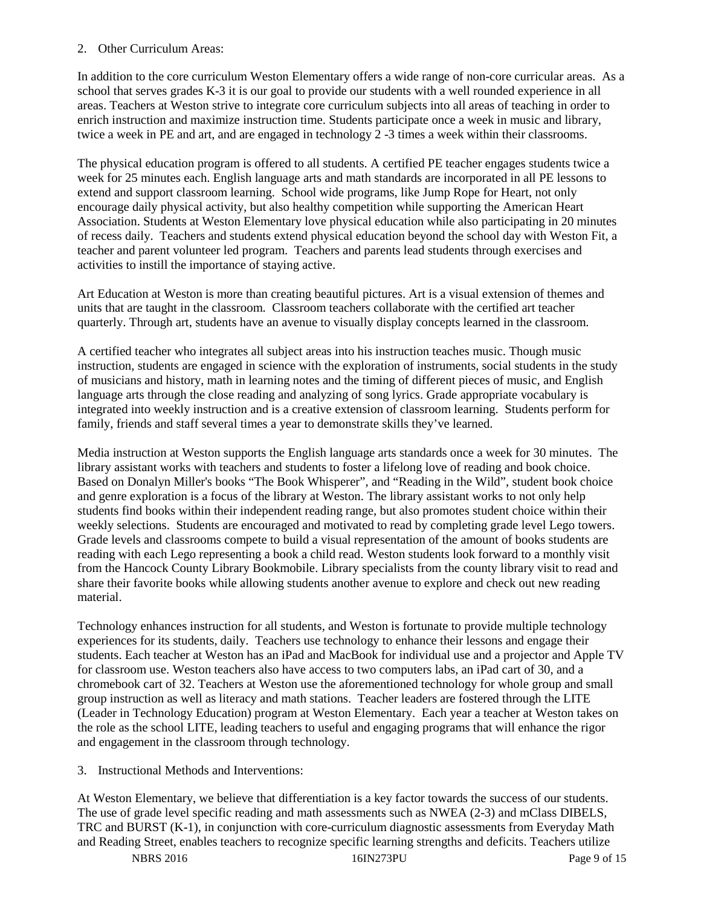# 2. Other Curriculum Areas:

In addition to the core curriculum Weston Elementary offers a wide range of non-core curricular areas. As a school that serves grades K-3 it is our goal to provide our students with a well rounded experience in all areas. Teachers at Weston strive to integrate core curriculum subjects into all areas of teaching in order to enrich instruction and maximize instruction time. Students participate once a week in music and library, twice a week in PE and art, and are engaged in technology 2 -3 times a week within their classrooms.

The physical education program is offered to all students. A certified PE teacher engages students twice a week for 25 minutes each. English language arts and math standards are incorporated in all PE lessons to extend and support classroom learning. School wide programs, like Jump Rope for Heart, not only encourage daily physical activity, but also healthy competition while supporting the American Heart Association. Students at Weston Elementary love physical education while also participating in 20 minutes of recess daily. Teachers and students extend physical education beyond the school day with Weston Fit, a teacher and parent volunteer led program. Teachers and parents lead students through exercises and activities to instill the importance of staying active.

Art Education at Weston is more than creating beautiful pictures. Art is a visual extension of themes and units that are taught in the classroom. Classroom teachers collaborate with the certified art teacher quarterly. Through art, students have an avenue to visually display concepts learned in the classroom.

A certified teacher who integrates all subject areas into his instruction teaches music. Though music instruction, students are engaged in science with the exploration of instruments, social students in the study of musicians and history, math in learning notes and the timing of different pieces of music, and English language arts through the close reading and analyzing of song lyrics. Grade appropriate vocabulary is integrated into weekly instruction and is a creative extension of classroom learning. Students perform for family, friends and staff several times a year to demonstrate skills they've learned.

Media instruction at Weston supports the English language arts standards once a week for 30 minutes. The library assistant works with teachers and students to foster a lifelong love of reading and book choice. Based on Donalyn Miller's books "The Book Whisperer", and "Reading in the Wild", student book choice and genre exploration is a focus of the library at Weston. The library assistant works to not only help students find books within their independent reading range, but also promotes student choice within their weekly selections. Students are encouraged and motivated to read by completing grade level Lego towers. Grade levels and classrooms compete to build a visual representation of the amount of books students are reading with each Lego representing a book a child read. Weston students look forward to a monthly visit from the Hancock County Library Bookmobile. Library specialists from the county library visit to read and share their favorite books while allowing students another avenue to explore and check out new reading material.

Technology enhances instruction for all students, and Weston is fortunate to provide multiple technology experiences for its students, daily. Teachers use technology to enhance their lessons and engage their students. Each teacher at Weston has an iPad and MacBook for individual use and a projector and Apple TV for classroom use. Weston teachers also have access to two computers labs, an iPad cart of 30, and a chromebook cart of 32. Teachers at Weston use the aforementioned technology for whole group and small group instruction as well as literacy and math stations. Teacher leaders are fostered through the LITE (Leader in Technology Education) program at Weston Elementary. Each year a teacher at Weston takes on the role as the school LITE, leading teachers to useful and engaging programs that will enhance the rigor and engagement in the classroom through technology.

3. Instructional Methods and Interventions:

At Weston Elementary, we believe that differentiation is a key factor towards the success of our students. The use of grade level specific reading and math assessments such as NWEA (2-3) and mClass DIBELS, TRC and BURST (K-1), in conjunction with core-curriculum diagnostic assessments from Everyday Math and Reading Street, enables teachers to recognize specific learning strengths and deficits. Teachers utilize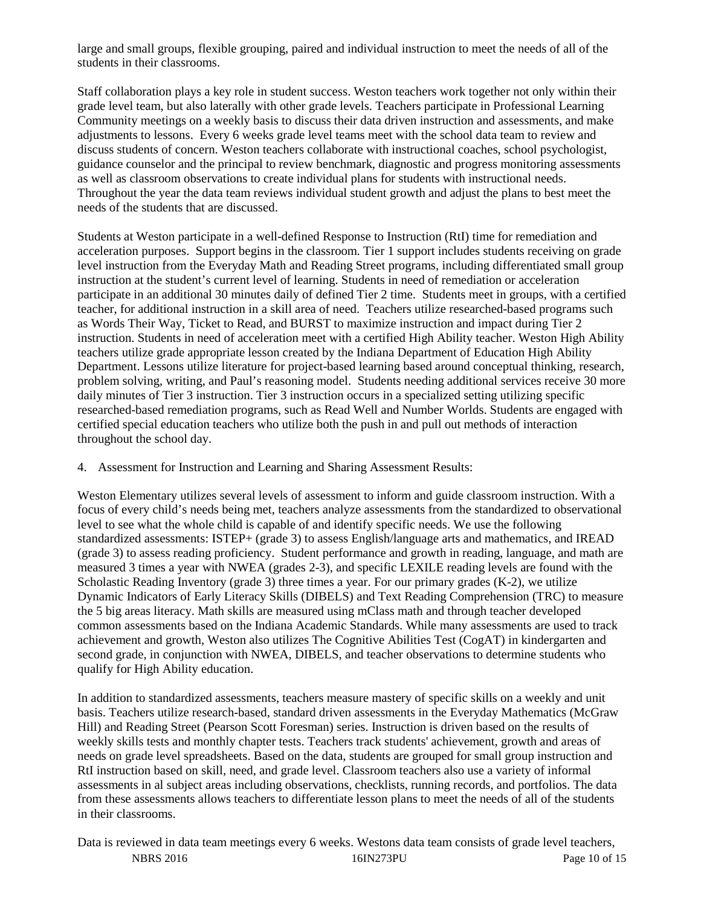large and small groups, flexible grouping, paired and individual instruction to meet the needs of all of the students in their classrooms.

Staff collaboration plays a key role in student success. Weston teachers work together not only within their grade level team, but also laterally with other grade levels. Teachers participate in Professional Learning Community meetings on a weekly basis to discuss their data driven instruction and assessments, and make adjustments to lessons. Every 6 weeks grade level teams meet with the school data team to review and discuss students of concern. Weston teachers collaborate with instructional coaches, school psychologist, guidance counselor and the principal to review benchmark, diagnostic and progress monitoring assessments as well as classroom observations to create individual plans for students with instructional needs. Throughout the year the data team reviews individual student growth and adjust the plans to best meet the needs of the students that are discussed.

Students at Weston participate in a well-defined Response to Instruction (RtI) time for remediation and acceleration purposes. Support begins in the classroom. Tier 1 support includes students receiving on grade level instruction from the Everyday Math and Reading Street programs, including differentiated small group instruction at the student's current level of learning. Students in need of remediation or acceleration participate in an additional 30 minutes daily of defined Tier 2 time. Students meet in groups, with a certified teacher, for additional instruction in a skill area of need. Teachers utilize researched-based programs such as Words Their Way, Ticket to Read, and BURST to maximize instruction and impact during Tier 2 instruction. Students in need of acceleration meet with a certified High Ability teacher. Weston High Ability teachers utilize grade appropriate lesson created by the Indiana Department of Education High Ability Department. Lessons utilize literature for project-based learning based around conceptual thinking, research, problem solving, writing, and Paul's reasoning model. Students needing additional services receive 30 more daily minutes of Tier 3 instruction. Tier 3 instruction occurs in a specialized setting utilizing specific researched-based remediation programs, such as Read Well and Number Worlds. Students are engaged with certified special education teachers who utilize both the push in and pull out methods of interaction throughout the school day.

4. Assessment for Instruction and Learning and Sharing Assessment Results:

Weston Elementary utilizes several levels of assessment to inform and guide classroom instruction. With a focus of every child's needs being met, teachers analyze assessments from the standardized to observational level to see what the whole child is capable of and identify specific needs. We use the following standardized assessments: ISTEP+ (grade 3) to assess English/language arts and mathematics, and IREAD (grade 3) to assess reading proficiency. Student performance and growth in reading, language, and math are measured 3 times a year with NWEA (grades 2-3), and specific LEXILE reading levels are found with the Scholastic Reading Inventory (grade 3) three times a year. For our primary grades  $(K-2)$ , we utilize Dynamic Indicators of Early Literacy Skills (DIBELS) and Text Reading Comprehension (TRC) to measure the 5 big areas literacy. Math skills are measured using mClass math and through teacher developed common assessments based on the Indiana Academic Standards. While many assessments are used to track achievement and growth, Weston also utilizes The Cognitive Abilities Test (CogAT) in kindergarten and second grade, in conjunction with NWEA, DIBELS, and teacher observations to determine students who qualify for High Ability education.

In addition to standardized assessments, teachers measure mastery of specific skills on a weekly and unit basis. Teachers utilize research-based, standard driven assessments in the Everyday Mathematics (McGraw Hill) and Reading Street (Pearson Scott Foresman) series. Instruction is driven based on the results of weekly skills tests and monthly chapter tests. Teachers track students' achievement, growth and areas of needs on grade level spreadsheets. Based on the data, students are grouped for small group instruction and RtI instruction based on skill, need, and grade level. Classroom teachers also use a variety of informal assessments in al subject areas including observations, checklists, running records, and portfolios. The data from these assessments allows teachers to differentiate lesson plans to meet the needs of all of the students in their classrooms.

NBRS 2016 16IN273PU Page 10 of 15 Data is reviewed in data team meetings every 6 weeks. Westons data team consists of grade level teachers,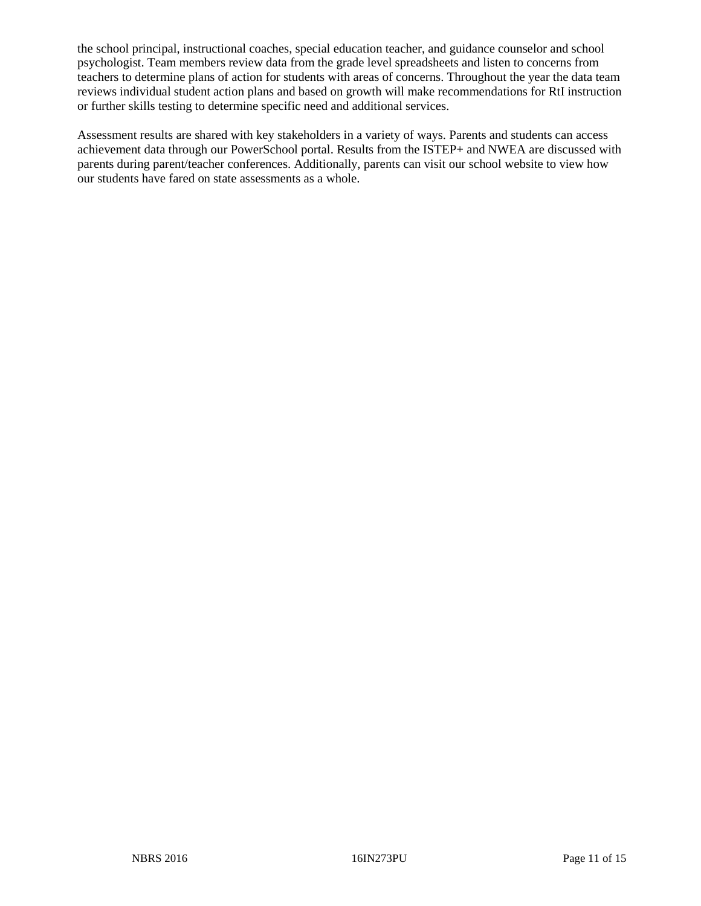the school principal, instructional coaches, special education teacher, and guidance counselor and school psychologist. Team members review data from the grade level spreadsheets and listen to concerns from teachers to determine plans of action for students with areas of concerns. Throughout the year the data team reviews individual student action plans and based on growth will make recommendations for RtI instruction or further skills testing to determine specific need and additional services.

Assessment results are shared with key stakeholders in a variety of ways. Parents and students can access achievement data through our PowerSchool portal. Results from the ISTEP+ and NWEA are discussed with parents during parent/teacher conferences. Additionally, parents can visit our school website to view how our students have fared on state assessments as a whole.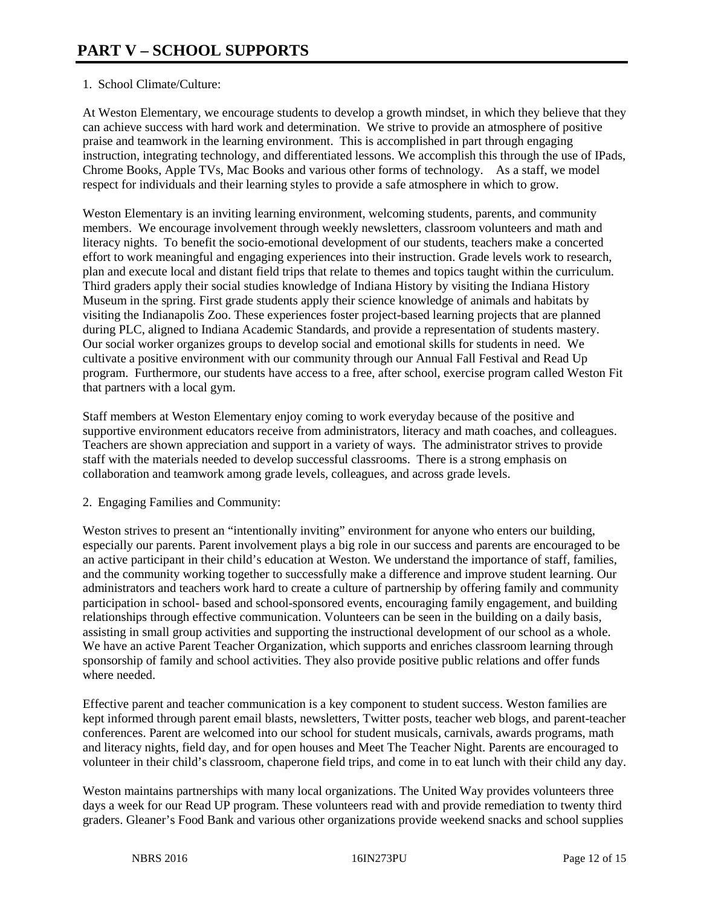# 1. School Climate/Culture:

At Weston Elementary, we encourage students to develop a growth mindset, in which they believe that they can achieve success with hard work and determination. We strive to provide an atmosphere of positive praise and teamwork in the learning environment. This is accomplished in part through engaging instruction, integrating technology, and differentiated lessons. We accomplish this through the use of IPads, Chrome Books, Apple TVs, Mac Books and various other forms of technology. As a staff, we model respect for individuals and their learning styles to provide a safe atmosphere in which to grow.

Weston Elementary is an inviting learning environment, welcoming students, parents, and community members. We encourage involvement through weekly newsletters, classroom volunteers and math and literacy nights. To benefit the socio-emotional development of our students, teachers make a concerted effort to work meaningful and engaging experiences into their instruction. Grade levels work to research, plan and execute local and distant field trips that relate to themes and topics taught within the curriculum. Third graders apply their social studies knowledge of Indiana History by visiting the Indiana History Museum in the spring. First grade students apply their science knowledge of animals and habitats by visiting the Indianapolis Zoo. These experiences foster project-based learning projects that are planned during PLC, aligned to Indiana Academic Standards, and provide a representation of students mastery. Our social worker organizes groups to develop social and emotional skills for students in need. We cultivate a positive environment with our community through our Annual Fall Festival and Read Up program. Furthermore, our students have access to a free, after school, exercise program called Weston Fit that partners with a local gym.

Staff members at Weston Elementary enjoy coming to work everyday because of the positive and supportive environment educators receive from administrators, literacy and math coaches, and colleagues. Teachers are shown appreciation and support in a variety of ways. The administrator strives to provide staff with the materials needed to develop successful classrooms. There is a strong emphasis on collaboration and teamwork among grade levels, colleagues, and across grade levels.

2. Engaging Families and Community:

Weston strives to present an "intentionally inviting" environment for anyone who enters our building, especially our parents. Parent involvement plays a big role in our success and parents are encouraged to be an active participant in their child's education at Weston. We understand the importance of staff, families, and the community working together to successfully make a difference and improve student learning. Our administrators and teachers work hard to create a culture of partnership by offering family and community participation in school- based and school-sponsored events, encouraging family engagement, and building relationships through effective communication. Volunteers can be seen in the building on a daily basis, assisting in small group activities and supporting the instructional development of our school as a whole. We have an active Parent Teacher Organization, which supports and enriches classroom learning through sponsorship of family and school activities. They also provide positive public relations and offer funds where needed.

Effective parent and teacher communication is a key component to student success. Weston families are kept informed through parent email blasts, newsletters, Twitter posts, teacher web blogs, and parent-teacher conferences. Parent are welcomed into our school for student musicals, carnivals, awards programs, math and literacy nights, field day, and for open houses and Meet The Teacher Night. Parents are encouraged to volunteer in their child's classroom, chaperone field trips, and come in to eat lunch with their child any day.

Weston maintains partnerships with many local organizations. The United Way provides volunteers three days a week for our Read UP program. These volunteers read with and provide remediation to twenty third graders. Gleaner's Food Bank and various other organizations provide weekend snacks and school supplies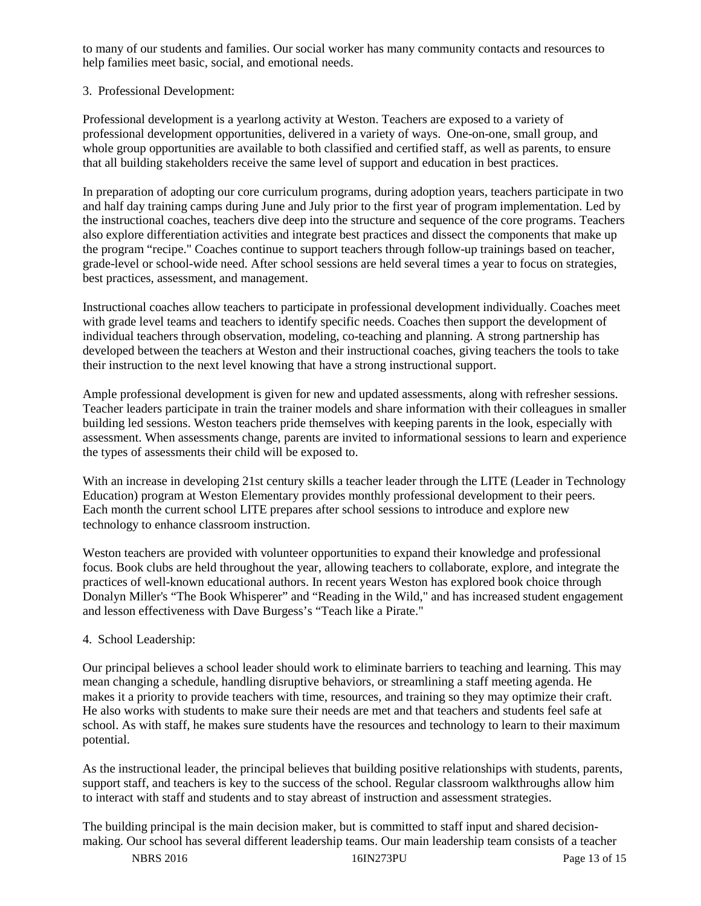to many of our students and families. Our social worker has many community contacts and resources to help families meet basic, social, and emotional needs.

# 3. Professional Development:

Professional development is a yearlong activity at Weston. Teachers are exposed to a variety of professional development opportunities, delivered in a variety of ways. One-on-one, small group, and whole group opportunities are available to both classified and certified staff, as well as parents, to ensure that all building stakeholders receive the same level of support and education in best practices.

In preparation of adopting our core curriculum programs, during adoption years, teachers participate in two and half day training camps during June and July prior to the first year of program implementation. Led by the instructional coaches, teachers dive deep into the structure and sequence of the core programs. Teachers also explore differentiation activities and integrate best practices and dissect the components that make up the program "recipe." Coaches continue to support teachers through follow-up trainings based on teacher, grade-level or school-wide need. After school sessions are held several times a year to focus on strategies, best practices, assessment, and management.

Instructional coaches allow teachers to participate in professional development individually. Coaches meet with grade level teams and teachers to identify specific needs. Coaches then support the development of individual teachers through observation, modeling, co-teaching and planning. A strong partnership has developed between the teachers at Weston and their instructional coaches, giving teachers the tools to take their instruction to the next level knowing that have a strong instructional support.

Ample professional development is given for new and updated assessments, along with refresher sessions. Teacher leaders participate in train the trainer models and share information with their colleagues in smaller building led sessions. Weston teachers pride themselves with keeping parents in the look, especially with assessment. When assessments change, parents are invited to informational sessions to learn and experience the types of assessments their child will be exposed to.

With an increase in developing 21st century skills a teacher leader through the LITE (Leader in Technology Education) program at Weston Elementary provides monthly professional development to their peers. Each month the current school LITE prepares after school sessions to introduce and explore new technology to enhance classroom instruction.

Weston teachers are provided with volunteer opportunities to expand their knowledge and professional focus. Book clubs are held throughout the year, allowing teachers to collaborate, explore, and integrate the practices of well-known educational authors. In recent years Weston has explored book choice through Donalyn Miller's "The Book Whisperer" and "Reading in the Wild," and has increased student engagement and lesson effectiveness with Dave Burgess's "Teach like a Pirate."

# 4. School Leadership:

Our principal believes a school leader should work to eliminate barriers to teaching and learning. This may mean changing a schedule, handling disruptive behaviors, or streamlining a staff meeting agenda. He makes it a priority to provide teachers with time, resources, and training so they may optimize their craft. He also works with students to make sure their needs are met and that teachers and students feel safe at school. As with staff, he makes sure students have the resources and technology to learn to their maximum potential.

As the instructional leader, the principal believes that building positive relationships with students, parents, support staff, and teachers is key to the success of the school. Regular classroom walkthroughs allow him to interact with staff and students and to stay abreast of instruction and assessment strategies.

The building principal is the main decision maker, but is committed to staff input and shared decisionmaking. Our school has several different leadership teams. Our main leadership team consists of a teacher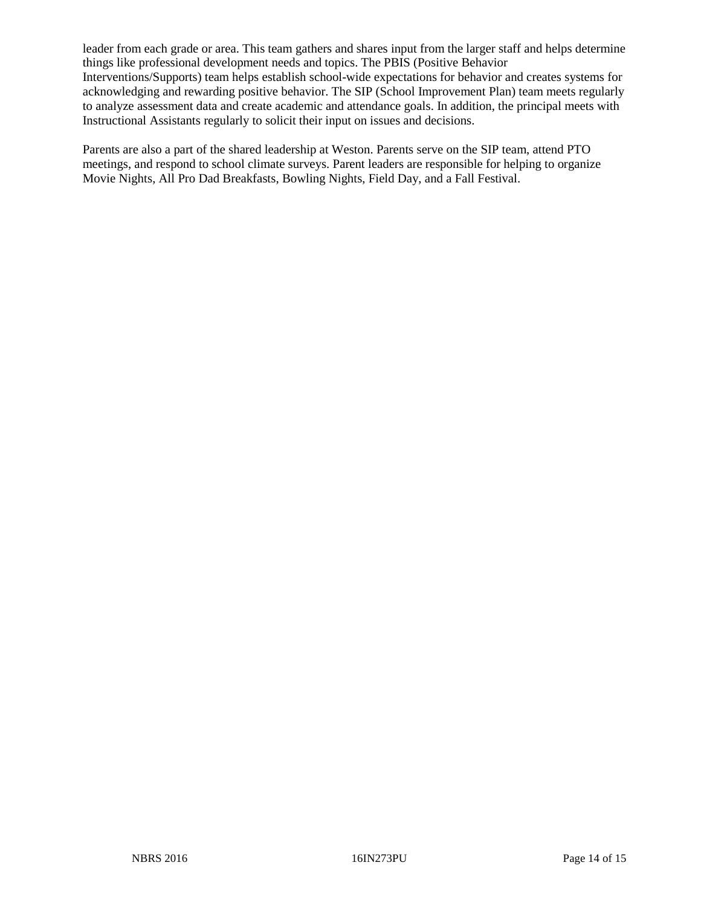leader from each grade or area. This team gathers and shares input from the larger staff and helps determine things like professional development needs and topics. The PBIS (Positive Behavior Interventions/Supports) team helps establish school-wide expectations for behavior and creates systems for acknowledging and rewarding positive behavior. The SIP (School Improvement Plan) team meets regularly to analyze assessment data and create academic and attendance goals. In addition, the principal meets with Instructional Assistants regularly to solicit their input on issues and decisions.

Parents are also a part of the shared leadership at Weston. Parents serve on the SIP team, attend PTO meetings, and respond to school climate surveys. Parent leaders are responsible for helping to organize Movie Nights, All Pro Dad Breakfasts, Bowling Nights, Field Day, and a Fall Festival.